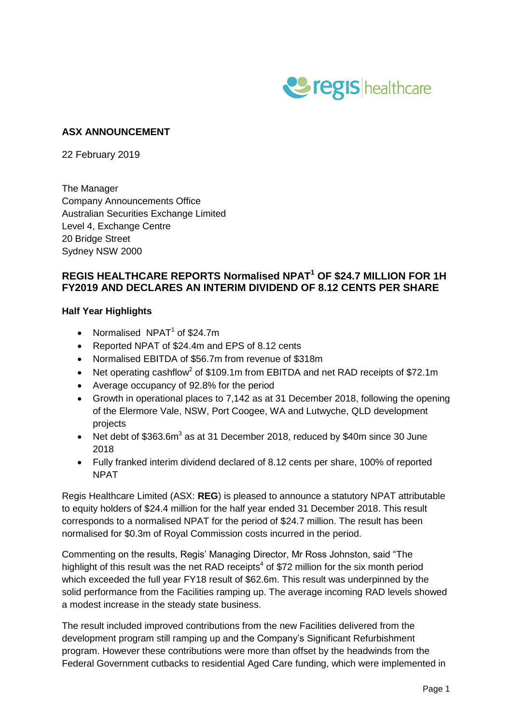

## **ASX ANNOUNCEMENT**

22 February 2019

The Manager Company Announcements Office Australian Securities Exchange Limited Level 4, Exchange Centre 20 Bridge Street Sydney NSW 2000

### **REGIS HEALTHCARE REPORTS Normalised NPAT<sup>1</sup> OF \$24.7 MILLION FOR 1H FY2019 AND DECLARES AN INTERIM DIVIDEND OF 8.12 CENTS PER SHARE**

#### **Half Year Highlights**

- Normalised  $NPATH<sup>1</sup>$  of \$24.7m
- Reported NPAT of \$24.4m and EPS of 8.12 cents
- Normalised EBITDA of \$56.7m from revenue of \$318m
- Net operating cashflow<sup>2</sup> of \$109.1m from EBITDA and net RAD receipts of \$72.1m
- Average occupancy of 92.8% for the period
- Growth in operational places to 7,142 as at 31 December 2018, following the opening of the Elermore Vale, NSW, Port Coogee, WA and Lutwyche, QLD development projects
- Net debt of \$363.6m<sup>3</sup> as at 31 December 2018, reduced by \$40m since 30 June 2018
- Fully franked interim dividend declared of 8.12 cents per share, 100% of reported NPAT

Regis Healthcare Limited (ASX: **REG**) is pleased to announce a statutory NPAT attributable to equity holders of \$24.4 million for the half year ended 31 December 2018. This result corresponds to a normalised NPAT for the period of \$24.7 million. The result has been normalised for \$0.3m of Royal Commission costs incurred in the period.

Commenting on the results, Regis' Managing Director, Mr Ross Johnston, said "The highlight of this result was the net RAD receipts<sup>4</sup> of \$72 million for the six month period which exceeded the full year FY18 result of \$62.6m. This result was underpinned by the solid performance from the Facilities ramping up. The average incoming RAD levels showed a modest increase in the steady state business.

The result included improved contributions from the new Facilities delivered from the development program still ramping up and the Company's Significant Refurbishment program. However these contributions were more than offset by the headwinds from the Federal Government cutbacks to residential Aged Care funding, which were implemented in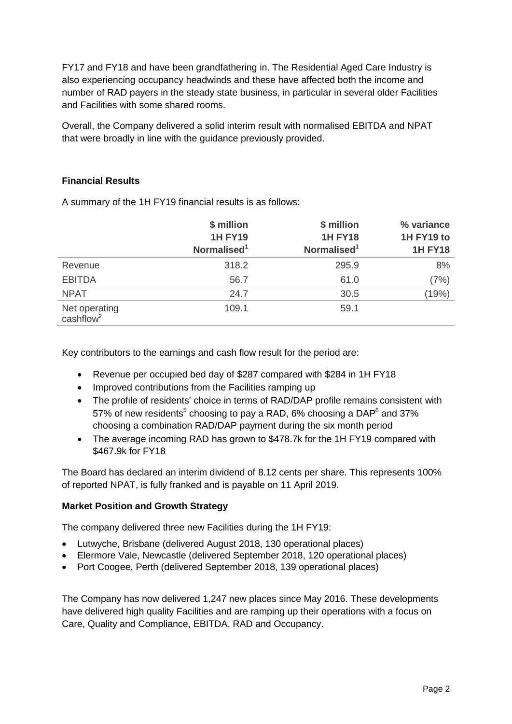FY17 and FY18 and have been grandfathering in. The Residential Aged Care Industry is also experiencing occupancy headwinds and these have affected both the income and number of RAD payers in the steady state business, in particular in several older Facilities and Facilities with some shared rooms.

Overall, the Company delivered a solid interim result with normalised EBITDA and NPAT that were broadly in line with the guidance previously provided.

## **Financial Results**

A summary of the 1H FY19 financial results is as follows:

|                                        | \$ million<br><b>1H FY19</b><br>Normalised <sup>1</sup> | \$ million<br><b>1H FY18</b><br>Normalised <sup>1</sup> | % variance<br>1H FY19 to<br><b>1H FY18</b> |
|----------------------------------------|---------------------------------------------------------|---------------------------------------------------------|--------------------------------------------|
| Revenue                                | 318.2                                                   | 295.9                                                   | 8%                                         |
| <b>EBITDA</b>                          | 56.7                                                    | 61.0                                                    | (7%)                                       |
| <b>NPAT</b>                            | 24.7                                                    | 30.5                                                    | (19%)                                      |
| Net operating<br>cashflow <sup>2</sup> | 109.1                                                   | 59.1                                                    |                                            |

Key contributors to the earnings and cash flow result for the period are:

- Revenue per occupied bed day of \$287 compared with \$284 in 1H FY18
- Improved contributions from the Facilities ramping up
- The profile of residents' choice in terms of RAD/DAP profile remains consistent with 57% of new residents<sup>5</sup> choosing to pay a RAD, 6% choosing a DAP<sup>6</sup> and 37% choosing a combination RAD/DAP payment during the six month period
- The average incoming RAD has grown to \$478.7k for the 1H FY19 compared with \$467.9k for FY18

The Board has declared an interim dividend of 8.12 cents per share. This represents 100% of reported NPAT, is fully franked and is payable on 11 April 2019.

#### **Market Position and Growth Strategy**

The company delivered three new Facilities during the 1H FY19:

- Lutwyche, Brisbane (delivered August 2018, 130 operational places)
- Elermore Vale, Newcastle (delivered September 2018, 120 operational places)
- Port Coogee, Perth (delivered September 2018, 139 operational places)

The Company has now delivered 1,247 new places since May 2016. These developments have delivered high quality Facilities and are ramping up their operations with a focus on Care, Quality and Compliance, EBITDA, RAD and Occupancy.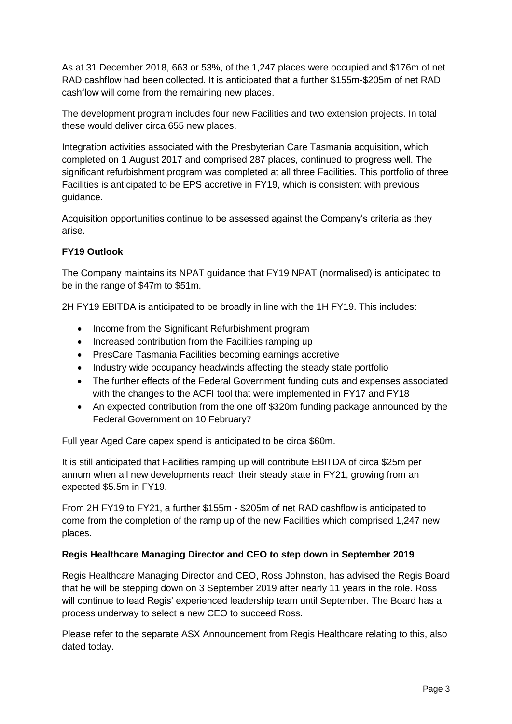As at 31 December 2018, 663 or 53%, of the 1,247 places were occupied and \$176m of net RAD cashflow had been collected. It is anticipated that a further \$155m-\$205m of net RAD cashflow will come from the remaining new places.

The development program includes four new Facilities and two extension projects. In total these would deliver circa 655 new places.

Integration activities associated with the Presbyterian Care Tasmania acquisition, which completed on 1 August 2017 and comprised 287 places, continued to progress well. The significant refurbishment program was completed at all three Facilities. This portfolio of three Facilities is anticipated to be EPS accretive in FY19, which is consistent with previous guidance.

Acquisition opportunities continue to be assessed against the Company's criteria as they arise.

# **FY19 Outlook**

The Company maintains its NPAT guidance that FY19 NPAT (normalised) is anticipated to be in the range of \$47m to \$51m.

2H FY19 EBITDA is anticipated to be broadly in line with the 1H FY19. This includes:

- Income from the Significant Refurbishment program
- Increased contribution from the Facilities ramping up
- PresCare Tasmania Facilities becoming earnings accretive
- Industry wide occupancy headwinds affecting the steady state portfolio
- The further effects of the Federal Government funding cuts and expenses associated with the changes to the ACFI tool that were implemented in FY17 and FY18
- An expected contribution from the one off \$320m funding package announced by the Federal Government on 10 February7

Full year Aged Care capex spend is anticipated to be circa \$60m.

It is still anticipated that Facilities ramping up will contribute EBITDA of circa \$25m per annum when all new developments reach their steady state in FY21, growing from an expected \$5.5m in FY19.

From 2H FY19 to FY21, a further \$155m - \$205m of net RAD cashflow is anticipated to come from the completion of the ramp up of the new Facilities which comprised 1,247 new places.

#### **Regis Healthcare Managing Director and CEO to step down in September 2019**

Regis Healthcare Managing Director and CEO, Ross Johnston, has advised the Regis Board that he will be stepping down on 3 September 2019 after nearly 11 years in the role. Ross will continue to lead Regis' experienced leadership team until September. The Board has a process underway to select a new CEO to succeed Ross.

Please refer to the separate ASX Announcement from Regis Healthcare relating to this, also dated today.